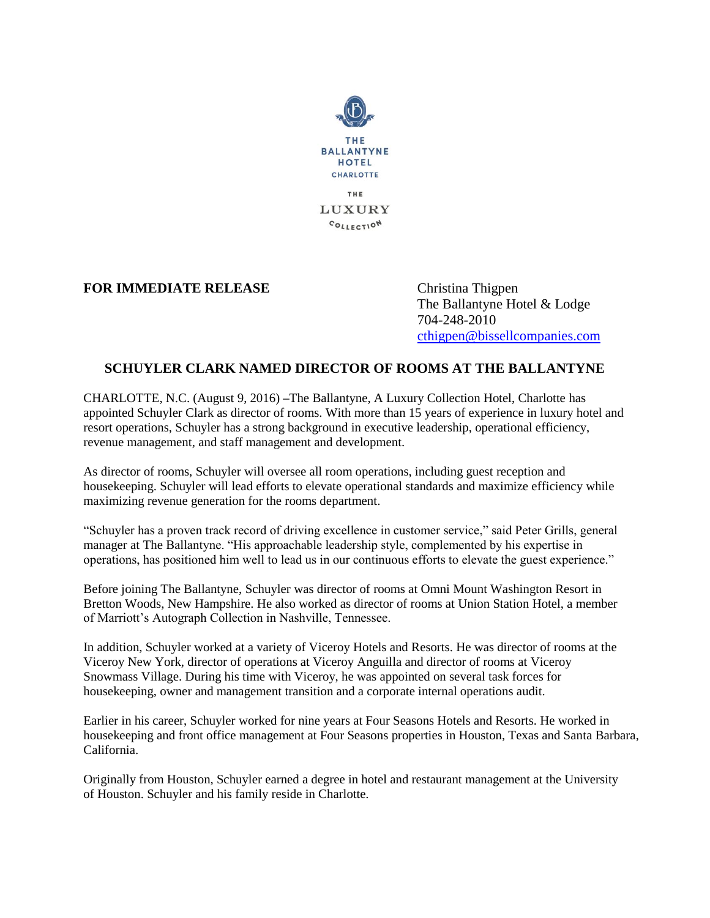

## **FOR IMMEDIATE RELEASE** Christina Thigpen

The Ballantyne Hotel & Lodge 704-248-2010 [cthigpen@bissellcompanies.com](mailto:cthigpen@bissellcompanies.com)

## **SCHUYLER CLARK NAMED DIRECTOR OF ROOMS AT THE BALLANTYNE**

CHARLOTTE, N.C. (August 9, 2016) **–**The Ballantyne, A Luxury Collection Hotel, Charlotte has appointed Schuyler Clark as director of rooms. With more than 15 years of experience in luxury hotel and resort operations, Schuyler has a strong background in executive leadership, operational efficiency, revenue management, and staff management and development.

As director of rooms, Schuyler will oversee all room operations, including guest reception and housekeeping. Schuyler will lead efforts to elevate operational standards and maximize efficiency while maximizing revenue generation for the rooms department.

"Schuyler has a proven track record of driving excellence in customer service," said Peter Grills, general manager at The Ballantyne. "His approachable leadership style, complemented by his expertise in operations, has positioned him well to lead us in our continuous efforts to elevate the guest experience."

Before joining The Ballantyne, Schuyler was director of rooms at Omni Mount Washington Resort in Bretton Woods, New Hampshire. He also worked as director of rooms at Union Station Hotel, a member of Marriott's Autograph Collection in Nashville, Tennessee.

In addition, Schuyler worked at a variety of Viceroy Hotels and Resorts. He was director of rooms at the Viceroy New York, director of operations at Viceroy Anguilla and director of rooms at Viceroy Snowmass Village. During his time with Viceroy, he was appointed on several task forces for housekeeping, owner and management transition and a corporate internal operations audit.

Earlier in his career, Schuyler worked for nine years at Four Seasons Hotels and Resorts. He worked in housekeeping and front office management at Four Seasons properties in Houston, Texas and Santa Barbara, California.

Originally from Houston, Schuyler earned a degree in hotel and restaurant management at the University of Houston. Schuyler and his family reside in Charlotte.